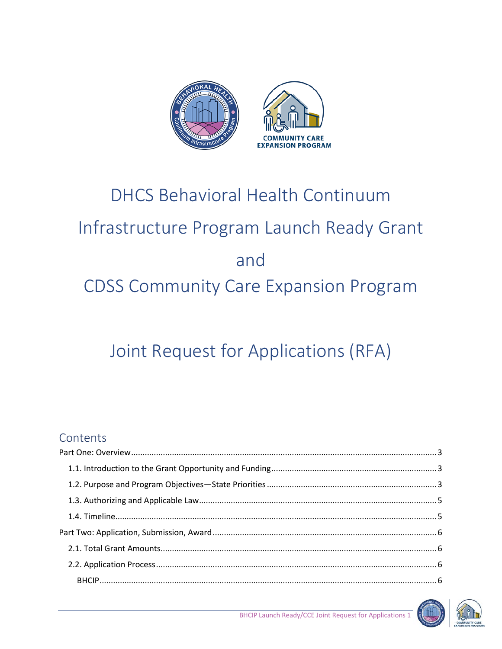

# **DHCS Behavioral Health Continuum** Infrastructure Program Launch Ready Grant and **CDSS Community Care Expansion Program**

# Joint Request for Applications (RFA)

## Contents



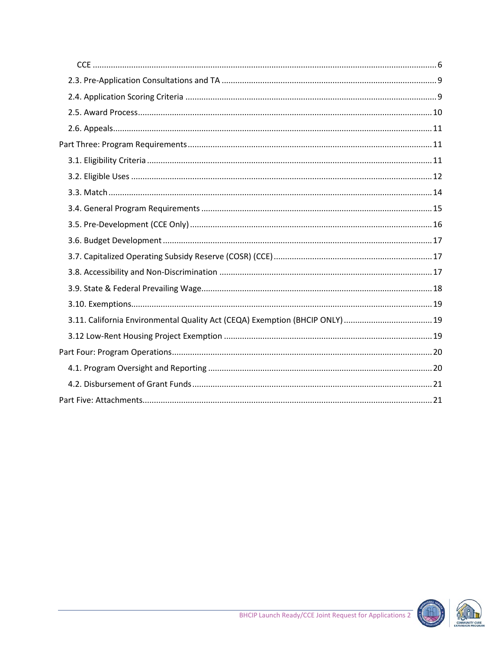

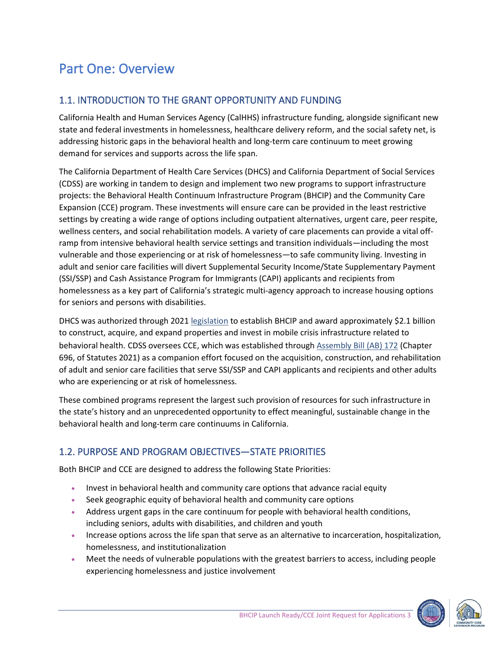# <span id="page-2-0"></span>Part One: Overview

## <span id="page-2-1"></span>1.1. INTRODUCTION TO THE GRANT OPPORTUNITY AND FUNDING

California Health and Human Services Agency (CalHHS) infrastructure funding, alongside significant new state and federal investments in homelessness, healthcare delivery reform, and the social safety net, is addressing historic gaps in the behavioral health and long-term care continuum to meet growing demand for services and supports across the life span.

The California Department of Health Care Services (DHCS) and California Department of Social Services (CDSS) are working in tandem to design and implement two new programs to support infrastructure projects: the Behavioral Health Continuum Infrastructure Program (BHCIP) and the Community Care Expansion (CCE) program. These investments will ensure care can be provided in the least restrictive settings by creating a wide range of options including outpatient alternatives, urgent care, peer respite, wellness centers, and social rehabilitation models. A variety of care placements can provide a vital offramp from intensive behavioral health service settings and transition individuals—including the most vulnerable and those experiencing or at risk of homelessness—to safe community living. Investing in adult and senior care facilities will divert Supplemental Security Income/State Supplementary Payment (SSI/SSP) and Cash Assistance Program for Immigrants (CAPI) applicants and recipients from homelessness as a key part of California's strategic multi-agency approach to increase housing options for seniors and persons with disabilities.

DHCS was authorized through 2021 [legislation](https://leginfo.legislature.ca.gov/faces/codes_displayText.xhtml?lawCode=WIC&division=5.&title=&part=7.&chapter=1.&article=) to establish BHCIP and award approximately \$2.1 billion to construct, acquire, and expand properties and invest in mobile crisis infrastructure related to behavioral health. CDSS oversees CCE, which was established through [Assembly Bill \(AB\) 172](https://leginfo.legislature.ca.gov/faces/billNavClient.xhtml?bill_id=202120220AB172) (Chapter 696, of Statutes 2021) as a companion effort focused on the acquisition, construction, and rehabilitation of adult and senior care facilities that serve SSI/SSP and CAPI applicants and recipients and other adults who are experiencing or at risk of homelessness.

These combined programs represent the largest such provision of resources for such infrastructure in the state's history and an unprecedented opportunity to effect meaningful, sustainable change in the behavioral health and long-term care continuums in California.

## <span id="page-2-2"></span>1.2. PURPOSE AND PROGRAM OBJECTIVES—STATE PRIORITIES

Both BHCIP and CCE are designed to address the following State Priorities:

- Invest in behavioral health and community care options that advance racial equity
- Seek geographic equity of behavioral health and community care options
- Address urgent gaps in the care continuum for people with behavioral health conditions, including seniors, adults with disabilities, and children and youth
- Increase options across the life span that serve as an alternative to incarceration, hospitalization, homelessness, and institutionalization
- Meet the needs of vulnerable populations with the greatest barriers to access, including people experiencing homelessness and justice involvement



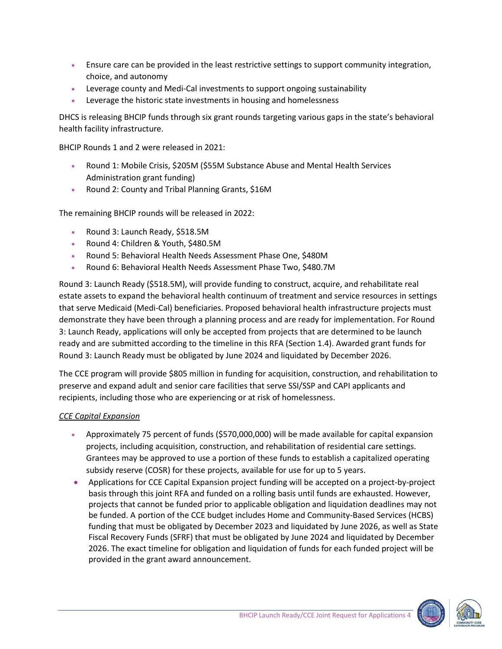- Ensure care can be provided in the least restrictive settings to support community integration, choice, and autonomy
- Leverage county and Medi-Cal investments to support ongoing sustainability
- Leverage the historic state investments in housing and homelessness

DHCS is releasing BHCIP funds through six grant rounds targeting various gaps in the state's behavioral health facility infrastructure.

BHCIP Rounds 1 and 2 were released in 2021:

- Round 1: Mobile Crisis, \$205M (\$55M Substance Abuse and Mental Health Services Administration grant funding)
- Round 2: County and Tribal Planning Grants, \$16M

The remaining BHCIP rounds will be released in 2022:

- Round 3: Launch Ready, \$518.5M
- Round 4: Children & Youth, \$480.5M
- Round 5: Behavioral Health Needs Assessment Phase One, \$480M
- Round 6: Behavioral Health Needs Assessment Phase Two, \$480.7M

Round 3: Launch Ready (\$518.5M), will provide funding to construct, acquire, and rehabilitate real estate assets to expand the behavioral health continuum of treatment and service resources in settings that serve Medicaid (Medi-Cal) beneficiaries. Proposed behavioral health infrastructure projects must demonstrate they have been through a planning process and are ready for implementation. For Round 3: Launch Ready, applications will only be accepted from projects that are determined to be launch ready and are submitted according to the timeline in this RFA (Section 1.4). Awarded grant funds for Round 3: Launch Ready must be obligated by June 2024 and liquidated by December 2026.

The CCE program will provide \$805 million in funding for acquisition, construction, and rehabilitation to preserve and expand adult and senior care facilities that serve SSI/SSP and CAPI applicants and recipients, including those who are experiencing or at risk of homelessness.

#### *CCE Capital Expansion*

- Approximately 75 percent of funds (\$570,000,000) will be made available for capital expansion projects, including acquisition, construction, and rehabilitation of residential care settings. Grantees may be approved to use a portion of these funds to establish a capitalized operating subsidy reserve (COSR) for these projects, available for use for up to 5 years.
- Applications for CCE Capital Expansion project funding will be accepted on a project-by-project basis through this joint RFA and funded on a rolling basis until funds are exhausted. However, projects that cannot be funded prior to applicable obligation and liquidation deadlines may not be funded. A portion of the CCE budget includes Home and Community-Based Services (HCBS) funding that must be obligated by December 2023 and liquidated by June 2026, as well as State Fiscal Recovery Funds (SFRF) that must be obligated by June 2024 and liquidated by December 2026. The exact timeline for obligation and liquidation of funds for each funded project will be provided in the grant award announcement.



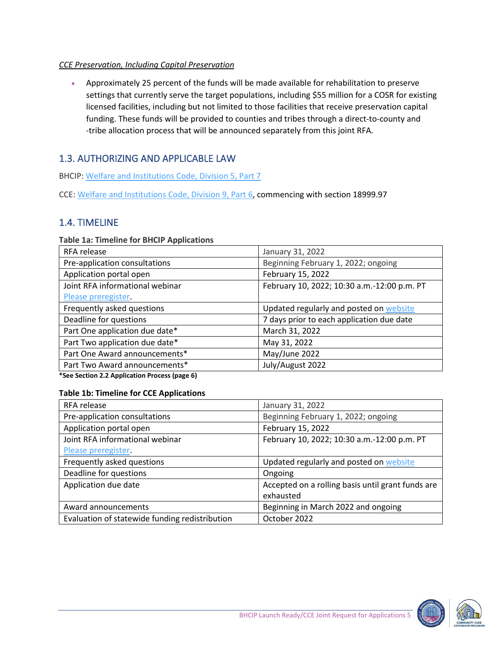#### *CCE Preservation, Including Capital Preservation*

• Approximately 25 percent of the funds will be made available for rehabilitation to preserve settings that currently serve the target populations, including \$55 million for a COSR for existing licensed facilities, including but not limited to those facilities that receive preservation capital funding. These funds will be provided to counties and tribes through a direct-to-county and -tribe allocation process that will be announced separately from this joint RFA.

## <span id="page-4-0"></span>1.3. AUTHORIZING AND APPLICABLE LAW

BHCIP: [Welfare and Institutions Code, Division 5, Part 7](https://leginfo.legislature.ca.gov/faces/codes_displayText.xhtml?lawCode=WIC&division=5.&title=&part=7.&chapter=1.&article=)

CCE[: Welfare and Institutions Code, Division 9, Part 6,](https://leginfo.legislature.ca.gov/faces/codes_displaySection.xhtml?lawCode=WIC§ionNum=18999.97.) commencing with section 18999.97

#### <span id="page-4-1"></span>1.4. TIMELINE

#### **Table 1a: Timeline for BHCIP Applications**

| RFA release                     | January 31, 2022                            |
|---------------------------------|---------------------------------------------|
| Pre-application consultations   | Beginning February 1, 2022; ongoing         |
| Application portal open         | February 15, 2022                           |
| Joint RFA informational webinar | February 10, 2022; 10:30 a.m.-12:00 p.m. PT |
| Please preregister.             |                                             |
| Frequently asked questions      | Updated regularly and posted on website     |
| Deadline for questions          | 7 days prior to each application due date   |
| Part One application due date*  | March 31, 2022                              |
| Part Two application due date*  | May 31, 2022                                |
| Part One Award announcements*   | May/June 2022                               |
| Part Two Award announcements*   | July/August 2022                            |

**\*See Section 2.2 Application Process (page 6)**

#### **Table 1b: Timeline for CCE Applications**

| RFA release                                    | January 31, 2022                                  |
|------------------------------------------------|---------------------------------------------------|
| Pre-application consultations                  | Beginning February 1, 2022; ongoing               |
| Application portal open                        | February 15, 2022                                 |
| Joint RFA informational webinar                | February 10, 2022; 10:30 a.m.-12:00 p.m. PT       |
| Please preregister.                            |                                                   |
| Frequently asked questions                     | Updated regularly and posted on website           |
| Deadline for questions                         | Ongoing                                           |
| Application due date                           | Accepted on a rolling basis until grant funds are |
|                                                | exhausted                                         |
| Award announcements                            | Beginning in March 2022 and ongoing               |
| Evaluation of statewide funding redistribution | October 2022                                      |

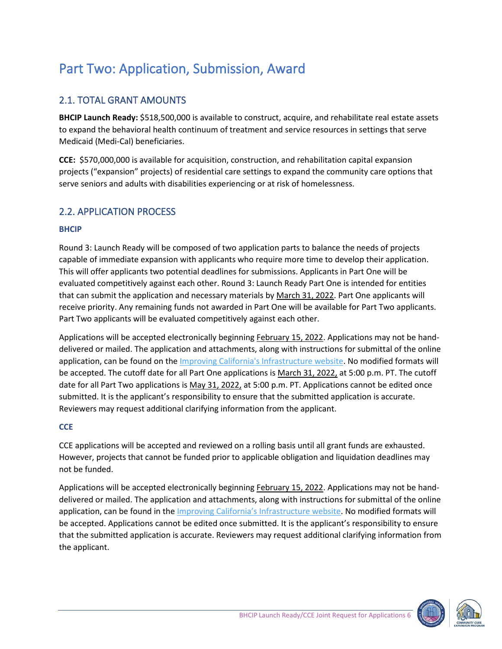# <span id="page-5-0"></span>Part Two: Application, Submission, Award

#### <span id="page-5-1"></span>2.1. TOTAL GRANT AMOUNTS

**BHCIP Launch Ready:** \$518,500,000 is available to construct, acquire, and rehabilitate real estate assets to expand the behavioral health continuum of treatment and service resources in settings that serve Medicaid (Medi-Cal) beneficiaries.

**CCE:** \$570,000,000 is available for acquisition, construction, and rehabilitation capital expansion projects ("expansion" projects) of residential care settings to expand the community care options that serve seniors and adults with disabilities experiencing or at risk of homelessness.

#### <span id="page-5-2"></span>2.2. APPLICATION PROCESS

#### <span id="page-5-3"></span>**BHCIP**

Round 3: Launch Ready will be composed of two application parts to balance the needs of projects capable of immediate expansion with applicants who require more time to develop their application. This will offer applicants two potential deadlines for submissions. Applicants in Part One will be evaluated competitively against each other. Round 3: Launch Ready Part One is intended for entities that can submit the application and necessary materials by March 31, 2022. Part One applicants will receive priority. Any remaining funds not awarded in Part One will be available for Part Two applicants. Part Two applicants will be evaluated competitively against each other.

Applications will be accepted electronically beginning February 15, 2022. Applications may not be handdelivered or mailed. The application and attachments, along with instructions for submittal of the online application, can be found on the [Improving California's Infrastructure website.](https://www.infrastructure.buildingcalhhs.com/joint-request-for-applications-rfa/) No modified formats will be accepted. The cutoff date for all Part One applications is March 31, 2022, at 5:00 p.m. PT. The cutoff date for all Part Two applications is May 31, 2022, at 5:00 p.m. PT. Applications cannot be edited once submitted. It is the applicant's responsibility to ensure that the submitted application is accurate. Reviewers may request additional clarifying information from the applicant.

#### <span id="page-5-4"></span>**CCE**

CCE applications will be accepted and reviewed on a rolling basis until all grant funds are exhausted. However, projects that cannot be funded prior to applicable obligation and liquidation deadlines may not be funded.

Applications will be accepted electronically beginning February 15, 2022. Applications may not be handdelivered or mailed. The application and attachments, along with instructions for submittal of the online application, can be found in the *Improving California's Infrastructure website*. No modified formats will be accepted. Applications cannot be edited once submitted. It is the applicant's responsibility to ensure that the submitted application is accurate. Reviewers may request additional clarifying information from the applicant.



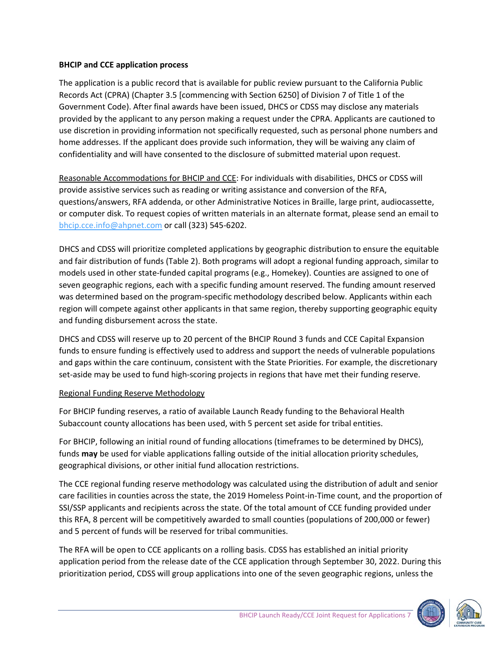#### **BHCIP and CCE application process**

The application is a public record that is available for public review pursuant to the California Public Records Act (CPRA) (Chapter 3.5 [commencing with Section 6250] of Division 7 of Title 1 of the Government Code). After final awards have been issued, DHCS or CDSS may disclose any materials provided by the applicant to any person making a request under the CPRA. Applicants are cautioned to use discretion in providing information not specifically requested, such as personal phone numbers and home addresses. If the applicant does provide such information, they will be waiving any claim of confidentiality and will have consented to the disclosure of submitted material upon request.

Reasonable Accommodations for BHCIP and CCE: For individuals with disabilities, DHCS or CDSS will provide assistive services such as reading or writing assistance and conversion of the RFA, questions/answers, RFA addenda, or other Administrative Notices in Braille, large print, audiocassette, or computer disk. To request copies of written materials in an alternate format, please send an email to [bhcip.cce.info@ahpnet.com](mailto:bhcip.cce.info@ahpnet.com) or call (323) 545-6202.

DHCS and CDSS will prioritize completed applications by geographic distribution to ensure the equitable and fair distribution of funds (Table 2). Both programs will adopt a regional funding approach, similar to models used in other state-funded capital programs (e.g., Homekey). Counties are assigned to one of seven geographic regions, each with a specific funding amount reserved. The funding amount reserved was determined based on the program-specific methodology described below. Applicants within each region will compete against other applicants in that same region, thereby supporting geographic equity and funding disbursement across the state.

DHCS and CDSS will reserve up to 20 percent of the BHCIP Round 3 funds and CCE Capital Expansion funds to ensure funding is effectively used to address and support the needs of vulnerable populations and gaps within the care continuum, consistent with the State Priorities. For example, the discretionary set-aside may be used to fund high-scoring projects in regions that have met their funding reserve.

#### Regional Funding Reserve Methodology

For BHCIP funding reserves, a ratio of available Launch Ready funding to the Behavioral Health Subaccount county allocations has been used, with 5 percent set aside for tribal entities.

For BHCIP, following an initial round of funding allocations (timeframes to be determined by DHCS), funds **may** be used for viable applications falling outside of the initial allocation priority schedules, geographical divisions, or other initial fund allocation restrictions.

The CCE regional funding reserve methodology was calculated using the distribution of adult and senior care facilities in counties across the state, the 2019 Homeless Point-in-Time count, and the proportion of SSI/SSP applicants and recipients across the state. Of the total amount of CCE funding provided under this RFA, 8 percent will be competitively awarded to small counties (populations of 200,000 or fewer) and 5 percent of funds will be reserved for tribal communities.

The RFA will be open to CCE applicants on a rolling basis. CDSS has established an initial priority application period from the release date of the CCE application through September 30, 2022. During this prioritization period, CDSS will group applications into one of the seven geographic regions, unless the



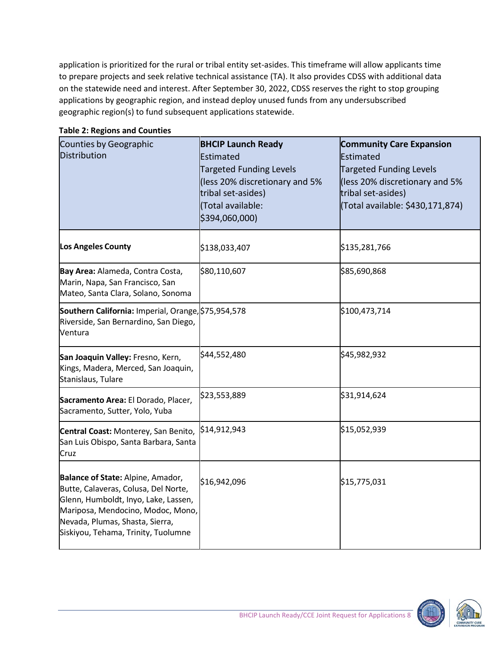application is prioritized for the rural or tribal entity set-asides. This timeframe will allow applicants time to prepare projects and seek relative technical assistance (TA). It also provides CDSS with additional data on the statewide need and interest. After September 30, 2022, CDSS reserves the right to stop grouping applications by geographic region, and instead deploy unused funds from any undersubscribed geographic region(s) to fund subsequent applications statewide.

| Counties by Geographic<br><b>Distribution</b>                                                                                                                                                                                    | <b>BHCIP Launch Ready</b><br>Estimated<br><b>Targeted Funding Levels</b><br>(less 20% discretionary and 5%<br>tribal set-asides)<br>(Total available:<br>\$394,060,000) | <b>Community Care Expansion</b><br>Estimated<br><b>Targeted Funding Levels</b><br>(less 20% discretionary and 5%<br>tribal set-asides)<br>(Total available: \$430,171,874) |
|----------------------------------------------------------------------------------------------------------------------------------------------------------------------------------------------------------------------------------|-------------------------------------------------------------------------------------------------------------------------------------------------------------------------|----------------------------------------------------------------------------------------------------------------------------------------------------------------------------|
| Los Angeles County                                                                                                                                                                                                               | \$138,033,407                                                                                                                                                           | \$135,281,766                                                                                                                                                              |
| Bay Area: Alameda, Contra Costa,<br>Marin, Napa, San Francisco, San<br>Mateo, Santa Clara, Solano, Sonoma                                                                                                                        | \$80,110,607                                                                                                                                                            | \$85,690,868                                                                                                                                                               |
| Southern California: Imperial, Orange, \$75,954,578<br>Riverside, San Bernardino, San Diego,<br>Ventura                                                                                                                          |                                                                                                                                                                         | \$100,473,714                                                                                                                                                              |
| San Joaquin Valley: Fresno, Kern,<br>Kings, Madera, Merced, San Joaquin,<br>Stanislaus, Tulare                                                                                                                                   | \$44,552,480                                                                                                                                                            | \$45,982,932                                                                                                                                                               |
| Sacramento Area: El Dorado, Placer,<br>Sacramento, Sutter, Yolo, Yuba                                                                                                                                                            | \$23,553,889                                                                                                                                                            | \$31,914,624                                                                                                                                                               |
| Central Coast: Monterey, San Benito, S14,912,943<br>San Luis Obispo, Santa Barbara, Santa<br>Cruz                                                                                                                                |                                                                                                                                                                         | \$15,052,939                                                                                                                                                               |
| Balance of State: Alpine, Amador,<br>Butte, Calaveras, Colusa, Del Norte,<br>Glenn, Humboldt, Inyo, Lake, Lassen,<br>Mariposa, Mendocino, Modoc, Mono,<br>Nevada, Plumas, Shasta, Sierra,<br>Siskiyou, Tehama, Trinity, Tuolumne | \$16,942,096                                                                                                                                                            | \$15,775,031                                                                                                                                                               |

#### **Table 2: Regions and Counties**



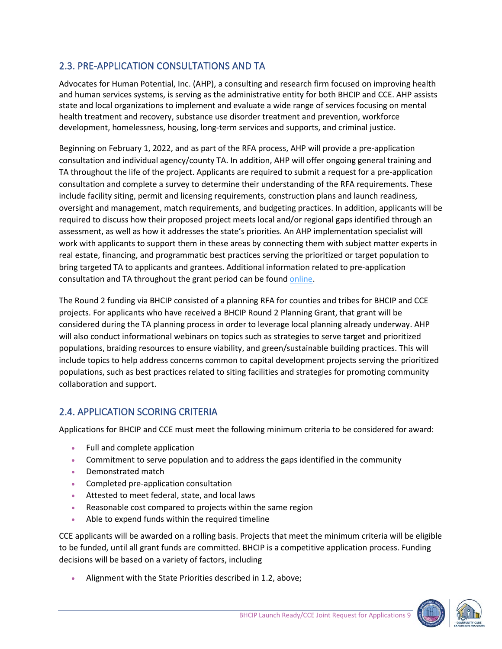## <span id="page-8-0"></span>2.3. PRE-APPLICATION CONSULTATIONS AND TA

Advocates for Human Potential, Inc. (AHP), a consulting and research firm focused on improving health and human services systems, is serving as the administrative entity for both BHCIP and CCE. AHP assists state and local organizations to implement and evaluate a wide range of services focusing on mental health treatment and recovery, substance use disorder treatment and prevention, workforce development, homelessness, housing, long-term services and supports, and criminal justice.

Beginning on February 1, 2022, and as part of the RFA process, AHP will provide a pre-application consultation and individual agency/county TA. In addition, AHP will offer ongoing general training and TA throughout the life of the project. Applicants are required to submit a request for a pre-application consultation and complete a survey to determine their understanding of the RFA requirements. These include facility siting, permit and licensing requirements, construction plans and launch readiness, oversight and management, match requirements, and budgeting practices. In addition, applicants will be required to discuss how their proposed project meets local and/or regional gaps identified through an assessment, as well as how it addresses the state's priorities. An AHP implementation specialist will work with applicants to support them in these areas by connecting them with subject matter experts in real estate, financing, and programmatic best practices serving the prioritized or target population to bring targeted TA to applicants and grantees. Additional information related to pre-application consultation and TA throughout the grant period can be foun[d online.](https://www.infrastructure.buildingcalhhs.com/training-and-technical-assistance/)

The Round 2 funding via BHCIP consisted of a planning RFA for counties and tribes for BHCIP and CCE projects. For applicants who have received a BHCIP Round 2 Planning Grant, that grant will be considered during the TA planning process in order to leverage local planning already underway. AHP will also conduct informational webinars on topics such as strategies to serve target and prioritized populations, braiding resources to ensure viability, and green/sustainable building practices. This will include topics to help address concerns common to capital development projects serving the prioritized populations, such as best practices related to siting facilities and strategies for promoting community collaboration and support.

## <span id="page-8-1"></span>2.4. APPLICATION SCORING CRITERIA

Applications for BHCIP and CCE must meet the following minimum criteria to be considered for award:

- Full and complete application
- Commitment to serve population and to address the gaps identified in the community
- Demonstrated match
- Completed pre-application consultation
- Attested to meet federal, state, and local laws
- Reasonable cost compared to projects within the same region
- Able to expend funds within the required timeline

CCE applicants will be awarded on a rolling basis. Projects that meet the minimum criteria will be eligible to be funded, until all grant funds are committed. BHCIP is a competitive application process. Funding decisions will be based on a variety of factors, including

• Alignment with the State Priorities described in 1.2, above;

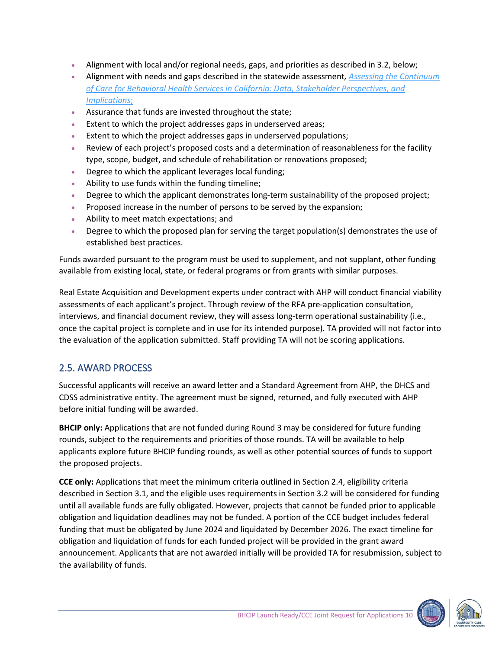- Alignment with local and/or regional needs, gaps, and priorities as described in 3.2, below;
- Alignment with needs and gaps described in the statewide assessment*[, Assessing the Continuum](https://www.dhcs.ca.gov/Pages/Assessing-the-Continuum-of-Care-for-Behavioral-Health-Services-in-California.aspx)  [of Care for Behavioral Health Services in California: Data, Stakeholder Perspectives, and](https://www.dhcs.ca.gov/Pages/Assessing-the-Continuum-of-Care-for-Behavioral-Health-Services-in-California.aspx)  [Implications](https://www.dhcs.ca.gov/Pages/Assessing-the-Continuum-of-Care-for-Behavioral-Health-Services-in-California.aspx)*;
- Assurance that funds are invested throughout the state;
- Extent to which the project addresses gaps in underserved areas;
- Extent to which the project addresses gaps in underserved populations;
- Review of each project's proposed costs and a determination of reasonableness for the facility type, scope, budget, and schedule of rehabilitation or renovations proposed;
- Degree to which the applicant leverages local funding;
- Ability to use funds within the funding timeline;
- Degree to which the applicant demonstrates long-term sustainability of the proposed project;
- Proposed increase in the number of persons to be served by the expansion;
- Ability to meet match expectations; and
- Degree to which the proposed plan for serving the target population(s) demonstrates the use of established best practices.

Funds awarded pursuant to the program must be used to supplement, and not supplant, other funding available from existing local, state, or federal programs or from grants with similar purposes.

Real Estate Acquisition and Development experts under contract with AHP will conduct financial viability assessments of each applicant's project. Through review of the RFA pre-application consultation, interviews, and financial document review, they will assess long-term operational sustainability (i.e., once the capital project is complete and in use for its intended purpose). TA provided will not factor into the evaluation of the application submitted. Staff providing TA will not be scoring applications.

## <span id="page-9-0"></span>2.5. AWARD PROCESS

Successful applicants will receive an award letter and a Standard Agreement from AHP, the DHCS and CDSS administrative entity. The agreement must be signed, returned, and fully executed with AHP before initial funding will be awarded.

**BHCIP only:** Applications that are not funded during Round 3 may be considered for future funding rounds, subject to the requirements and priorities of those rounds. TA will be available to help applicants explore future BHCIP funding rounds, as well as other potential sources of funds to support the proposed projects.

**CCE only:** Applications that meet the minimum criteria outlined in Section 2.4, eligibility criteria described in Section 3.1, and the eligible uses requirements in Section 3.2 will be considered for funding until all available funds are fully obligated. However, projects that cannot be funded prior to applicable obligation and liquidation deadlines may not be funded. A portion of the CCE budget includes federal funding that must be obligated by June 2024 and liquidated by December 2026. The exact timeline for obligation and liquidation of funds for each funded project will be provided in the grant award announcement. Applicants that are not awarded initially will be provided TA for resubmission, subject to the availability of funds.

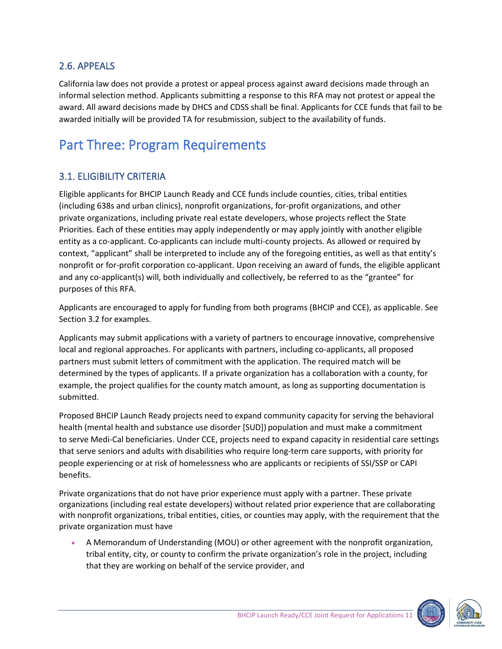## <span id="page-10-0"></span>2.6. APPEALS

California law does not provide a protest or appeal process against award decisions made through an informal selection method. Applicants submitting a response to this RFA may not protest or appeal the award. All award decisions made by DHCS and CDSS shall be final. Applicants for CCE funds that fail to be awarded initially will be provided TA for resubmission, subject to the availability of funds.

## <span id="page-10-1"></span>Part Three: Program Requirements

#### <span id="page-10-2"></span>3.1. ELIGIBILITY CRITERIA

Eligible applicants for BHCIP Launch Ready and CCE funds include counties, cities, tribal entities (including 638s and urban clinics), nonprofit organizations, for-profit organizations, and other private organizations, including private real estate developers, whose projects reflect the State Priorities. Each of these entities may apply independently or may apply jointly with another eligible entity as a co-applicant. Co-applicants can include multi-county projects. As allowed or required by context, "applicant" shall be interpreted to include any of the foregoing entities, as well as that entity's nonprofit or for-profit corporation co-applicant. Upon receiving an award of funds, the eligible applicant and any co-applicant(s) will, both individually and collectively, be referred to as the "grantee" for purposes of this RFA.

Applicants are encouraged to apply for funding from both programs (BHCIP and CCE), as applicable. See Section 3.2 for examples.

Applicants may submit applications with a variety of partners to encourage innovative, comprehensive local and regional approaches. For applicants with partners, including co-applicants, all proposed partners must submit letters of commitment with the application. The required match will be determined by the types of applicants. If a private organization has a collaboration with a county, for example, the project qualifies for the county match amount, as long as supporting documentation is submitted.

Proposed BHCIP Launch Ready projects need to expand community capacity for serving the behavioral health (mental health and substance use disorder [SUD]) population and must make a commitment to serve Medi-Cal beneficiaries. Under CCE, projects need to expand capacity in residential care settings that serve seniors and adults with disabilities who require long-term care supports, with priority for people experiencing or at risk of homelessness who are applicants or recipients of SSI/SSP or CAPI benefits.

Private organizations that do not have prior experience must apply with a partner. These private organizations (including real estate developers) without related prior experience that are collaborating with nonprofit organizations, tribal entities, cities, or counties may apply, with the requirement that the private organization must have

• A Memorandum of Understanding (MOU) or other agreement with the nonprofit organization, tribal entity, city, or county to confirm the private organization's role in the project, including that they are working on behalf of the service provider, and



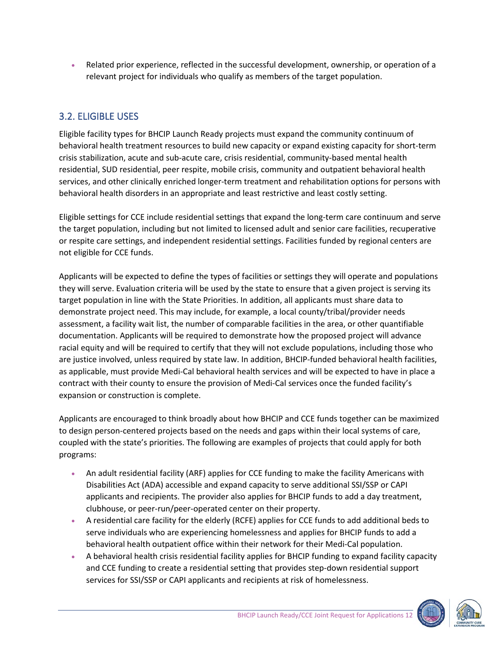• Related prior experience, reflected in the successful development, ownership, or operation of a relevant project for individuals who qualify as members of the target population.

## <span id="page-11-0"></span>3.2. ELIGIBLE USES

Eligible facility types for BHCIP Launch Ready projects must expand the community continuum of behavioral health treatment resources to build new capacity or expand existing capacity for short-term crisis stabilization, acute and sub-acute care, crisis residential, community-based mental health residential, SUD residential, peer respite, mobile crisis, community and outpatient behavioral health services, and other clinically enriched longer-term treatment and rehabilitation options for persons with behavioral health disorders in an appropriate and least restrictive and least costly setting.

Eligible settings for CCE include residential settings that expand the long-term care continuum and serve the target population, including but not limited to licensed adult and senior care facilities, recuperative or respite care settings, and independent residential settings. Facilities funded by regional centers are not eligible for CCE funds.

Applicants will be expected to define the types of facilities or settings they will operate and populations they will serve. Evaluation criteria will be used by the state to ensure that a given project is serving its target population in line with the State Priorities. In addition, all applicants must share data to demonstrate project need. This may include, for example, a local county/tribal/provider needs assessment, a facility wait list, the number of comparable facilities in the area, or other quantifiable documentation. Applicants will be required to demonstrate how the proposed project will advance racial equity and will be required to certify that they will not exclude populations, including those who are justice involved, unless required by state law. In addition, BHCIP-funded behavioral health facilities, as applicable, must provide Medi-Cal behavioral health services and will be expected to have in place a contract with their county to ensure the provision of Medi-Cal services once the funded facility's expansion or construction is complete.

Applicants are encouraged to think broadly about how BHCIP and CCE funds together can be maximized to design person-centered projects based on the needs and gaps within their local systems of care, coupled with the state's priorities. The following are examples of projects that could apply for both programs:

- An adult residential facility (ARF) applies for CCE funding to make the facility Americans with Disabilities Act (ADA) accessible and expand capacity to serve additional SSI/SSP or CAPI applicants and recipients. The provider also applies for BHCIP funds to add a day treatment, clubhouse, or peer-run/peer-operated center on their property.
- A residential care facility for the elderly (RCFE) applies for CCE funds to add additional beds to serve individuals who are experiencing homelessness and applies for BHCIP funds to add a behavioral health outpatient office within their network for their Medi-Cal population.
- A behavioral health crisis residential facility applies for BHCIP funding to expand facility capacity and CCE funding to create a residential setting that provides step-down residential support services for SSI/SSP or CAPI applicants and recipients at risk of homelessness.



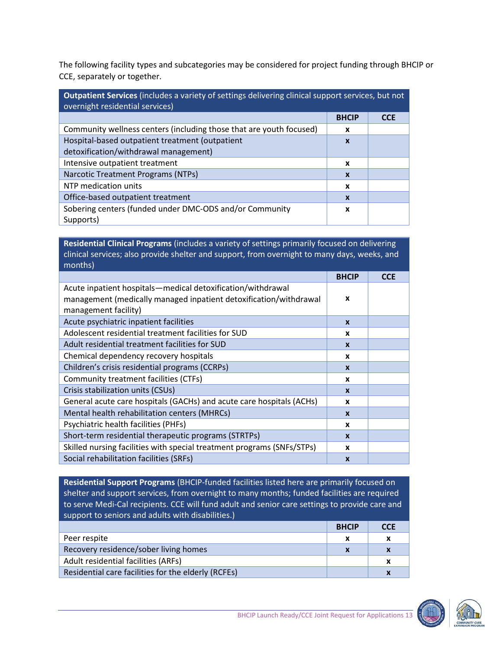The following facility types and subcategories may be considered for project funding through BHCIP or CCE, separately or together.

| Outpatient Services (includes a variety of settings delivering clinical support services, but not<br>overnight residential services) |                  |            |
|--------------------------------------------------------------------------------------------------------------------------------------|------------------|------------|
|                                                                                                                                      | <b>BHCIP</b>     | <b>CCE</b> |
| Community wellness centers (including those that are youth focused)                                                                  | x                |            |
| Hospital-based outpatient treatment (outpatient                                                                                      | $\mathbf x$      |            |
| detoxification/withdrawal management)                                                                                                |                  |            |
| Intensive outpatient treatment                                                                                                       | x                |            |
| Narcotic Treatment Programs (NTPs)                                                                                                   | $\boldsymbol{x}$ |            |
| NTP medication units                                                                                                                 | x                |            |
| Office-based outpatient treatment                                                                                                    | $\boldsymbol{x}$ |            |
| Sobering centers (funded under DMC-ODS and/or Community<br>Supports)                                                                 | X                |            |

**Residential Clinical Programs** (includes a variety of settings primarily focused on delivering clinical services; also provide shelter and support, from overnight to many days, weeks, and months)

|                                                                                                                                                          | <b>BHCIP</b> | <b>CCE</b> |
|----------------------------------------------------------------------------------------------------------------------------------------------------------|--------------|------------|
| Acute inpatient hospitals—medical detoxification/withdrawal<br>management (medically managed inpatient detoxification/withdrawal<br>management facility) | $\mathbf{x}$ |            |
| Acute psychiatric inpatient facilities                                                                                                                   | $\mathbf{x}$ |            |
| Adolescent residential treatment facilities for SUD                                                                                                      | x            |            |
| Adult residential treatment facilities for SUD                                                                                                           | $\mathbf{x}$ |            |
| Chemical dependency recovery hospitals                                                                                                                   | x            |            |
| Children's crisis residential programs (CCRPs)                                                                                                           | $\mathbf{x}$ |            |
| Community treatment facilities (CTFs)                                                                                                                    | x            |            |
| Crisis stabilization units (CSUs)                                                                                                                        | $\mathbf{x}$ |            |
| General acute care hospitals (GACHs) and acute care hospitals (ACHs)                                                                                     | x            |            |
| Mental health rehabilitation centers (MHRCs)                                                                                                             | $\mathbf{x}$ |            |
| Psychiatric health facilities (PHFs)                                                                                                                     | x            |            |
| Short-term residential therapeutic programs (STRTPs)                                                                                                     | $\mathbf{x}$ |            |
| Skilled nursing facilities with special treatment programs (SNFs/STPs)                                                                                   | x            |            |
| Social rehabilitation facilities (SRFs)                                                                                                                  | $\mathbf{x}$ |            |

**Residential Support Programs** (BHCIP-funded facilities listed here are primarily focused on shelter and support services, from overnight to many months; funded facilities are required to serve Medi-Cal recipients. CCE will fund adult and senior care settings to provide care and support to seniors and adults with disabilities.)

|                                                     | <b>BHCIP</b> | <b>CCE</b>       |
|-----------------------------------------------------|--------------|------------------|
| Peer respite                                        |              | x                |
| Recovery residence/sober living homes               |              | $\boldsymbol{x}$ |
| Adult residential facilities (ARFs)                 |              | x                |
| Residential care facilities for the elderly (RCFEs) |              | X                |

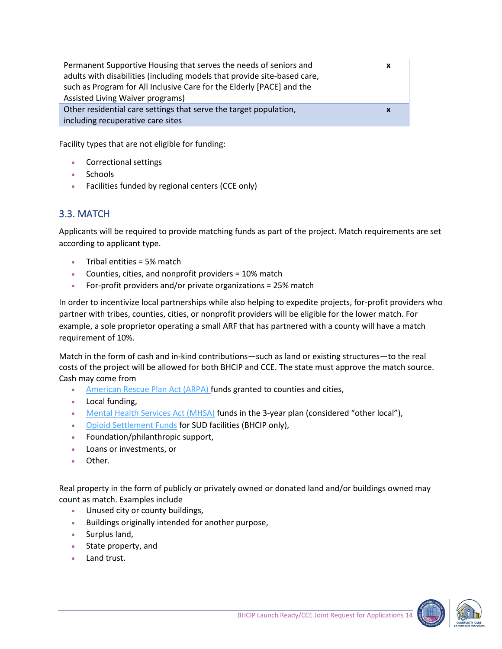| Permanent Supportive Housing that serves the needs of seniors and        | x                         |
|--------------------------------------------------------------------------|---------------------------|
| adults with disabilities (including models that provide site-based care, |                           |
| such as Program for All Inclusive Care for the Elderly [PACE] and the    |                           |
| Assisted Living Waiver programs)                                         |                           |
| Other residential care settings that serve the target population,        | $\boldsymbol{\mathsf{x}}$ |
| including recuperative care sites                                        |                           |
|                                                                          |                           |

Facility types that are not eligible for funding:

- Correctional settings
- Schools
- Facilities funded by regional centers (CCE only)

#### <span id="page-13-0"></span>3.3. MATCH

Applicants will be required to provide matching funds as part of the project. Match requirements are set according to applicant type.

- Tribal entities = 5% match
- Counties, cities, and nonprofit providers = 10% match
- For-profit providers and/or private organizations = 25% match

In order to incentivize local partnerships while also helping to expedite projects, for-profit providers who partner with tribes, counties, cities, or nonprofit providers will be eligible for the lower match. For example, a sole proprietor operating a small ARF that has partnered with a county will have a match requirement of 10%.

Match in the form of cash and in-kind contributions—such as land or existing structures—to the real costs of the project will be allowed for both BHCIP and CCE. The state must approve the match source. Cash may come from

- [American Rescue Plan Act \(ARPA\)](https://home.treasury.gov/policy-issues/coronavirus/assistance-for-state-local-and-tribal-governments/state-and-local-fiscal-recovery-funds) funds granted to counties and cities,
- Local funding,
- [Mental Health Services Act](https://mhsoac.ca.gov/sites/default/files/MHSA%20Jan2020_0.pdf) (MHSA) funds in the 3-year plan (considered "other local"),
- [Opioid Settlement Funds](https://oag.ca.gov/opioids) for SUD facilities (BHCIP only),
- Foundation/philanthropic support,
- Loans or investments, or
- Other.

Real property in the form of publicly or privately owned or donated land and/or buildings owned may count as match. Examples include

- Unused city or county buildings,
- Buildings originally intended for another purpose,
- Surplus land,
- State property, and
- Land trust.

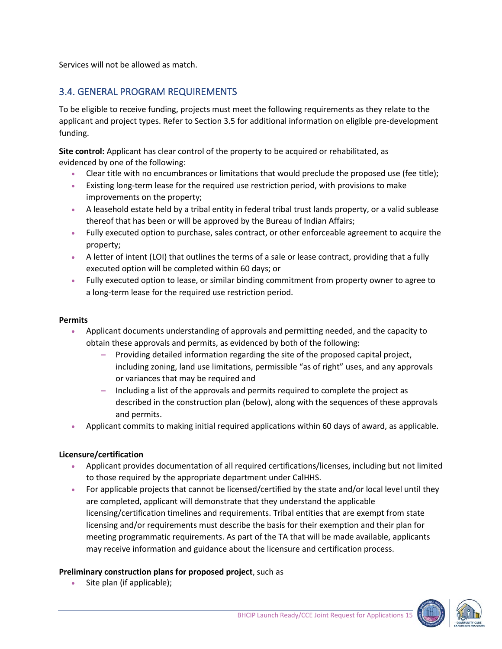<span id="page-14-0"></span>Services will not be allowed as match.

#### 3.4. GENERAL PROGRAM REQUIREMENTS

To be eligible to receive funding, projects must meet the following requirements as they relate to the applicant and project types. Refer to Section 3.5 for additional information on eligible pre-development funding.

**Site control:** Applicant has clear control of the property to be acquired or rehabilitated, as evidenced by one of the following:

- Clear title with no encumbrances or limitations that would preclude the proposed use (fee title);
- Existing long-term lease for the required use restriction period, with provisions to make improvements on the property;
- A leasehold estate held by a tribal entity in federal tribal trust lands property, or a valid sublease thereof that has been or will be approved by the Bureau of Indian Affairs;
- Fully executed option to purchase, sales contract, or other enforceable agreement to acquire the property;
- A letter of intent (LOI) that outlines the terms of a sale or lease contract, providing that a fully executed option will be completed within 60 days; or
- Fully executed option to lease, or similar binding commitment from property owner to agree to a long-term lease for the required use restriction period.

#### **Permits**

- Applicant documents understanding of approvals and permitting needed, and the capacity to obtain these approvals and permits, as evidenced by both of the following:
	- **–** Providing detailed information regarding the site of the proposed capital project, including zoning, land use limitations, permissible "as of right" uses, and any approvals or variances that may be required and
	- **–** Including a list of the approvals and permits required to complete the project as described in the construction plan (below), along with the sequences of these approvals and permits.
- Applicant commits to making initial required applications within 60 days of award, as applicable.

#### **Licensure/certification**

- Applicant provides documentation of all required certifications/licenses, including but not limited to those required by the appropriate department under CalHHS.
- For applicable projects that cannot be licensed/certified by the state and/or local level until they are completed, applicant will demonstrate that they understand the applicable licensing/certification timelines and requirements. Tribal entities that are exempt from state licensing and/or requirements must describe the basis for their exemption and their plan for meeting programmatic requirements. As part of the TA that will be made available, applicants may receive information and guidance about the licensure and certification process.

#### **Preliminary construction plans for proposed project**, such as

Site plan (if applicable);



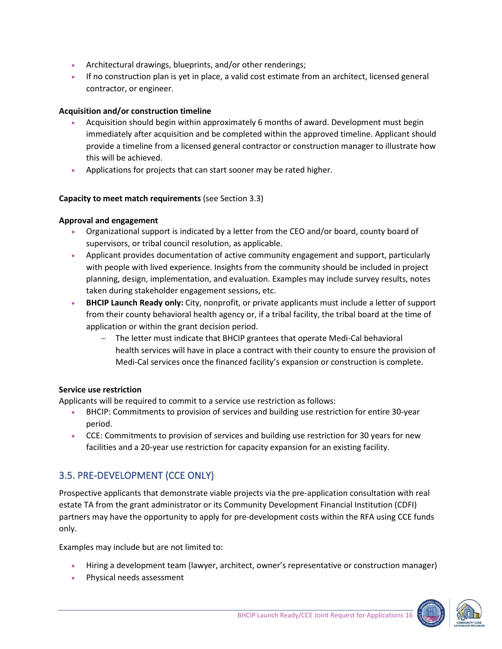- Architectural drawings, blueprints, and/or other renderings;
- If no construction plan is yet in place, a valid cost estimate from an architect, licensed general contractor, or engineer.

#### **Acquisition and/or construction timeline**

- Acquisition should begin within approximately 6 months of award. Development must begin immediately after acquisition and be completed within the approved timeline. Applicant should provide a timeline from a licensed general contractor or construction manager to illustrate how this will be achieved.
- Applications for projects that can start sooner may be rated higher.

#### **Capacity to meet match requirements** (see Section 3.3)

#### **Approval and engagement**

- Organizational support is indicated by a letter from the CEO and/or board, county board of supervisors, or tribal council resolution, as applicable.
- Applicant provides documentation of active community engagement and support, particularly with people with lived experience. Insights from the community should be included in project planning, design, implementation, and evaluation. Examples may include survey results, notes taken during stakeholder engagement sessions, etc.
- **BHCIP Launch Ready only:** City, nonprofit, or private applicants must include a letter of support from their county behavioral health agency or, if a tribal facility, the tribal board at the time of application or within the grant decision period.
	- **–** The letter must indicate that BHCIP grantees that operate Medi-Cal behavioral health services will have in place a contract with their county to ensure the provision of Medi-Cal services once the financed facility's expansion or construction is complete.

#### **Service use restriction**

Applicants will be required to commit to a service use restriction as follows:

- BHCIP: Commitments to provision of services and building use restriction for entire 30-year period.
- CCE: Commitments to provision of services and building use restriction for 30 years for new facilities and a 20-year use restriction for capacity expansion for an existing facility.

#### <span id="page-15-0"></span>3.5. PRE-DEVELOPMENT (CCE ONLY)

Prospective applicants that demonstrate viable projects via the pre-application consultation with real estate TA from the grant administrator or its Community Development Financial Institution (CDFI) partners may have the opportunity to apply for pre-development costs within the RFA using CCE funds only.

Examples may include but are not limited to:

- Hiring a development team (lawyer, architect, owner's representative or construction manager)
- Physical needs assessment

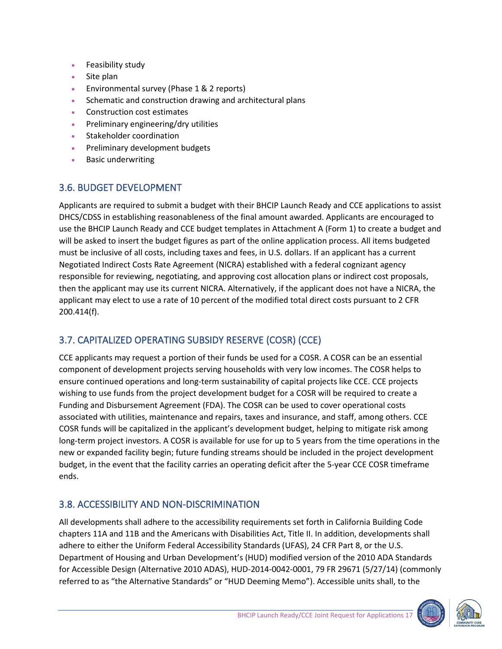- Feasibility study
- Site plan
- Environmental survey (Phase 1 & 2 reports)
- Schematic and construction drawing and architectural plans
- Construction cost estimates
- Preliminary engineering/dry utilities
- Stakeholder coordination
- Preliminary development budgets
- Basic underwriting

#### <span id="page-16-0"></span>3.6. BUDGET DEVELOPMENT

Applicants are required to submit a budget with their BHCIP Launch Ready and CCE applications to assist DHCS/CDSS in establishing reasonableness of the final amount awarded. Applicants are encouraged to use the BHCIP Launch Ready and CCE budget templates in Attachment A (Form 1) to create a budget and will be asked to insert the budget figures as part of the online application process. All items budgeted must be inclusive of all costs, including taxes and fees, in U.S. dollars. If an applicant has a current Negotiated Indirect Costs Rate Agreement (NICRA) established with a federal cognizant agency responsible for reviewing, negotiating, and approving cost allocation plans or indirect cost proposals, then the applicant may use its current NICRA. Alternatively, if the applicant does not have a NICRA, the applicant may elect to use a rate of 10 percent of the modified total direct costs pursuant to 2 CFR 200.414(f).

## <span id="page-16-1"></span>3.7. CAPITALIZED OPERATING SUBSIDY RESERVE (COSR) (CCE)

CCE applicants may request a portion of their funds be used for a COSR. A COSR can be an essential component of development projects serving households with very low incomes. The COSR helps to ensure continued operations and long-term sustainability of capital projects like CCE. CCE projects wishing to use funds from the project development budget for a COSR will be required to create a Funding and Disbursement Agreement (FDA). The COSR can be used to cover operational costs associated with utilities, maintenance and repairs, taxes and insurance, and staff, among others. CCE COSR funds will be capitalized in the applicant's development budget, helping to mitigate risk among long-term project investors. A COSR is available for use for up to 5 years from the time operations in the new or expanded facility begin; future funding streams should be included in the project development budget, in the event that the facility carries an operating deficit after the 5-year CCE COSR timeframe ends.

## <span id="page-16-2"></span>3.8. ACCESSIBILITY AND NON-DISCRIMINATION

All developments shall adhere to the accessibility requirements set forth in California Building Code chapters 11A and 11B and the Americans with Disabilities Act, Title II. In addition, developments shall adhere to either the Uniform Federal Accessibility Standards (UFAS), 24 CFR Part 8, or the U.S. Department of Housing and Urban Development's (HUD) modified version of the 2010 ADA Standards for Accessible Design (Alternative 2010 ADAS), HUD-2014-0042-0001, 79 FR 29671 (5/27/14) (commonly referred to as "the Alternative Standards" or "HUD Deeming Memo"). Accessible units shall, to the



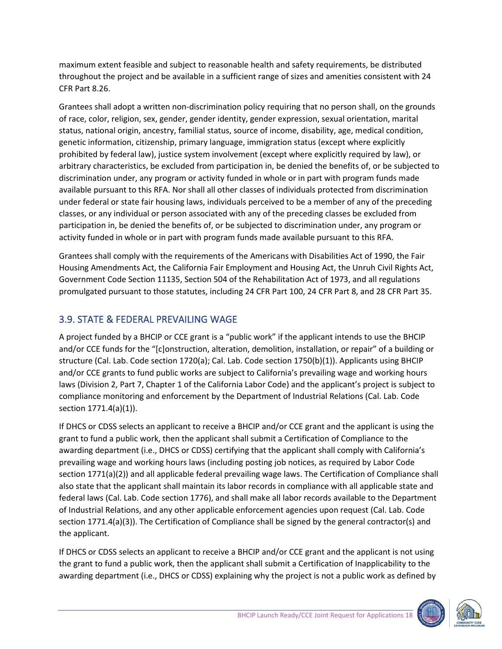maximum extent feasible and subject to reasonable health and safety requirements, be distributed throughout the project and be available in a sufficient range of sizes and amenities consistent with 24 CFR Part 8.26.

Grantees shall adopt a written non-discrimination policy requiring that no person shall, on the grounds of race, color, religion, sex, gender, gender identity, gender expression, sexual orientation, marital status, national origin, ancestry, familial status, source of income, disability, age, medical condition, genetic information, citizenship, primary language, immigration status (except where explicitly prohibited by federal law), justice system involvement (except where explicitly required by law), or arbitrary characteristics, be excluded from participation in, be denied the benefits of, or be subjected to discrimination under, any program or activity funded in whole or in part with program funds made available pursuant to this RFA. Nor shall all other classes of individuals protected from discrimination under federal or state fair housing laws, individuals perceived to be a member of any of the preceding classes, or any individual or person associated with any of the preceding classes be excluded from participation in, be denied the benefits of, or be subjected to discrimination under, any program or activity funded in whole or in part with program funds made available pursuant to this RFA.

Grantees shall comply with the requirements of the Americans with Disabilities Act of 1990, the Fair Housing Amendments Act, the California Fair Employment and Housing Act, the Unruh Civil Rights Act, Government Code Section 11135, Section 504 of the Rehabilitation Act of 1973, and all regulations promulgated pursuant to those statutes, including 24 CFR Part 100, 24 CFR Part 8, and 28 CFR Part 35.

## <span id="page-17-0"></span>3.9. STATE & FEDERAL PREVAILING WAGE

A project funded by a BHCIP or CCE grant is a "public work" if the applicant intends to use the BHCIP and/or CCE funds for the "[c]onstruction, alteration, demolition, installation, or repair" of a building or structure (Cal. Lab. Code section 1720(a); Cal. Lab. Code section 1750(b)(1)). Applicants using BHCIP and/or CCE grants to fund public works are subject to California's prevailing wage and working hours laws (Division 2, Part 7, Chapter 1 of the California Labor Code) and the applicant's project is subject to compliance monitoring and enforcement by the Department of Industrial Relations (Cal. Lab. Code section 1771.4(a)(1)).

If DHCS or CDSS selects an applicant to receive a BHCIP and/or CCE grant and the applicant is using the grant to fund a public work, then the applicant shall submit a Certification of Compliance to the awarding department (i.e., DHCS or CDSS) certifying that the applicant shall comply with California's prevailing wage and working hours laws (including posting job notices, as required by Labor Code section 1771(a)(2)) and all applicable federal prevailing wage laws. The Certification of Compliance shall also state that the applicant shall maintain its labor records in compliance with all applicable state and federal laws (Cal. Lab. Code section 1776), and shall make all labor records available to the Department of Industrial Relations, and any other applicable enforcement agencies upon request (Cal. Lab. Code section 1771.4(a)(3)). The Certification of Compliance shall be signed by the general contractor(s) and the applicant.

If DHCS or CDSS selects an applicant to receive a BHCIP and/or CCE grant and the applicant is not using the grant to fund a public work, then the applicant shall submit a Certification of Inapplicability to the awarding department (i.e., DHCS or CDSS) explaining why the project is not a public work as defined by

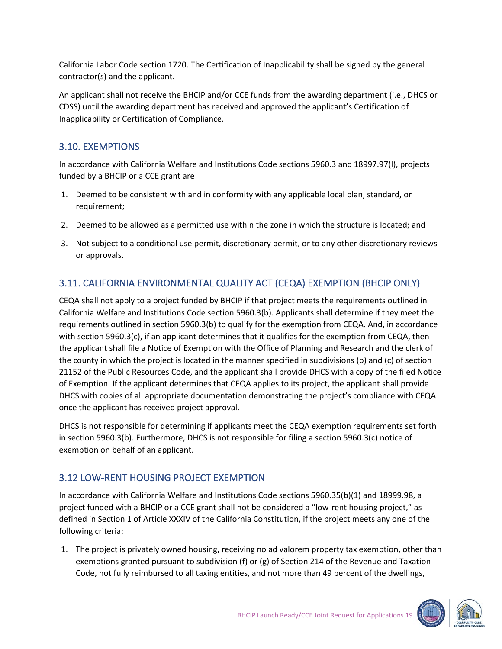California Labor Code section 1720. The Certification of Inapplicability shall be signed by the general contractor(s) and the applicant.

An applicant shall not receive the BHCIP and/or CCE funds from the awarding department (i.e., DHCS or CDSS) until the awarding department has received and approved the applicant's Certification of Inapplicability or Certification of Compliance.

## <span id="page-18-0"></span>3.10. EXEMPTIONS

In accordance with California Welfare and Institutions Code sections 5960.3 and 18997.97(l), projects funded by a BHCIP or a CCE grant are

- 1. Deemed to be consistent with and in conformity with any applicable local plan, standard, or requirement;
- 2. Deemed to be allowed as a permitted use within the zone in which the structure is located; and
- 3. Not subject to a conditional use permit, discretionary permit, or to any other discretionary reviews or approvals.

## <span id="page-18-1"></span>3.11. CALIFORNIA ENVIRONMENTAL QUALITY ACT (CEQA) EXEMPTION (BHCIP ONLY)

CEQA shall not apply to a project funded by BHCIP if that project meets the requirements outlined in California Welfare and Institutions Code section 5960.3(b). Applicants shall determine if they meet the requirements outlined in section 5960.3(b) to qualify for the exemption from CEQA. And, in accordance with section 5960.3(c), if an applicant determines that it qualifies for the exemption from CEQA, then the applicant shall file a Notice of Exemption with the Office of Planning and Research and the clerk of the county in which the project is located in the manner specified in subdivisions (b) and (c) of section 21152 of the Public Resources Code, and the applicant shall provide DHCS with a copy of the filed Notice of Exemption. If the applicant determines that CEQA applies to its project, the applicant shall provide DHCS with copies of all appropriate documentation demonstrating the project's compliance with CEQA once the applicant has received project approval.

DHCS is not responsible for determining if applicants meet the CEQA exemption requirements set forth in section 5960.3(b). Furthermore, DHCS is not responsible for filing a section 5960.3(c) notice of exemption on behalf of an applicant.

## <span id="page-18-2"></span>3.12 LOW-RENT HOUSING PROJECT EXEMPTION

In accordance with California Welfare and Institutions Code sections 5960.35(b)(1) and 18999.98, a project funded with a BHCIP or a CCE grant shall not be considered a "low-rent housing project," as defined in Section 1 of Article XXXIV of the California Constitution, if the project meets any one of the following criteria:

1. The project is privately owned housing, receiving no ad valorem property tax exemption, other than exemptions granted pursuant to subdivision (f) or (g) of Section 214 of the Revenue and Taxation Code, not fully reimbursed to all taxing entities, and not more than 49 percent of the dwellings,

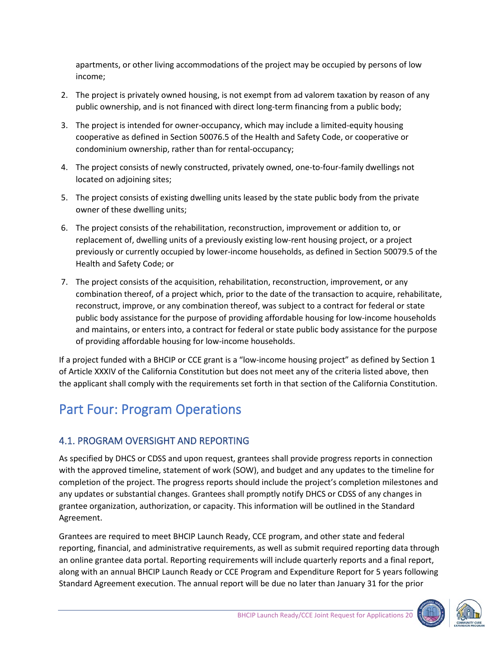apartments, or other living accommodations of the project may be occupied by persons of low income;

- 2. The project is privately owned housing, is not exempt from ad valorem taxation by reason of any public ownership, and is not financed with direct long-term financing from a public body;
- 3. The project is intended for owner-occupancy, which may include a limited-equity housing cooperative as defined in Section 50076.5 of the Health and Safety Code, or cooperative or condominium ownership, rather than for rental-occupancy;
- 4. The project consists of newly constructed, privately owned, one-to-four-family dwellings not located on adjoining sites;
- 5. The project consists of existing dwelling units leased by the state public body from the private owner of these dwelling units;
- 6. The project consists of the rehabilitation, reconstruction, improvement or addition to, or replacement of, dwelling units of a previously existing low-rent housing project, or a project previously or currently occupied by lower-income households, as defined in Section 50079.5 of the Health and Safety Code; or
- 7. The project consists of the acquisition, rehabilitation, reconstruction, improvement, or any combination thereof, of a project which, prior to the date of the transaction to acquire, rehabilitate, reconstruct, improve, or any combination thereof, was subject to a contract for federal or state public body assistance for the purpose of providing affordable housing for low-income households and maintains, or enters into, a contract for federal or state public body assistance for the purpose of providing affordable housing for low-income households.

If a project funded with a BHCIP or CCE grant is a "low-income housing project" as defined by Section 1 of Article XXXIV of the California Constitution but does not meet any of the criteria listed above, then the applicant shall comply with the requirements set forth in that section of the California Constitution.

# <span id="page-19-0"></span>Part Four: Program Operations

## <span id="page-19-1"></span>4.1. PROGRAM OVERSIGHT AND REPORTING

As specified by DHCS or CDSS and upon request, grantees shall provide progress reports in connection with the approved timeline, statement of work (SOW), and budget and any updates to the timeline for completion of the project. The progress reports should include the project's completion milestones and any updates or substantial changes. Grantees shall promptly notify DHCS or CDSS of any changes in grantee organization, authorization, or capacity. This information will be outlined in the Standard Agreement.

Grantees are required to meet BHCIP Launch Ready, CCE program, and other state and federal reporting, financial, and administrative requirements, as well as submit required reporting data through an online grantee data portal. Reporting requirements will include quarterly reports and a final report, along with an annual BHCIP Launch Ready or CCE Program and Expenditure Report for 5 years following Standard Agreement execution. The annual report will be due no later than January 31 for the prior